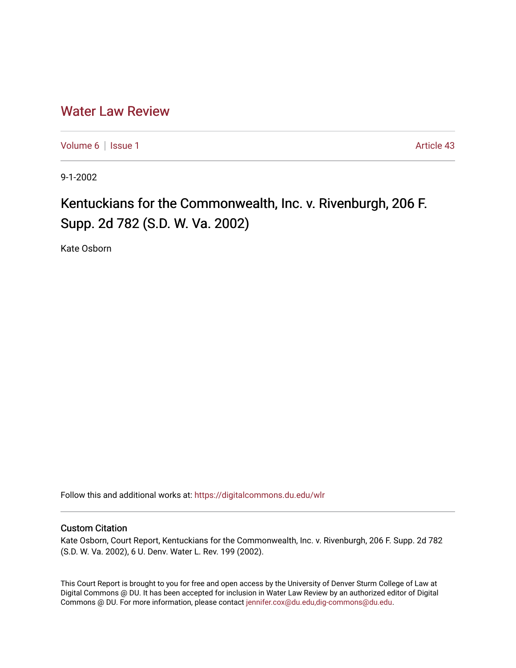## [Water Law Review](https://digitalcommons.du.edu/wlr)

[Volume 6](https://digitalcommons.du.edu/wlr/vol6) | [Issue 1](https://digitalcommons.du.edu/wlr/vol6/iss1) Article 43

9-1-2002

## Kentuckians for the Commonwealth, Inc. v. Rivenburgh, 206 F. Supp. 2d 782 (S.D. W. Va. 2002)

Kate Osborn

Follow this and additional works at: [https://digitalcommons.du.edu/wlr](https://digitalcommons.du.edu/wlr?utm_source=digitalcommons.du.edu%2Fwlr%2Fvol6%2Fiss1%2F43&utm_medium=PDF&utm_campaign=PDFCoverPages) 

## Custom Citation

Kate Osborn, Court Report, Kentuckians for the Commonwealth, Inc. v. Rivenburgh, 206 F. Supp. 2d 782 (S.D. W. Va. 2002), 6 U. Denv. Water L. Rev. 199 (2002).

This Court Report is brought to you for free and open access by the University of Denver Sturm College of Law at Digital Commons @ DU. It has been accepted for inclusion in Water Law Review by an authorized editor of Digital Commons @ DU. For more information, please contact [jennifer.cox@du.edu,dig-commons@du.edu.](mailto:jennifer.cox@du.edu,dig-commons@du.edu)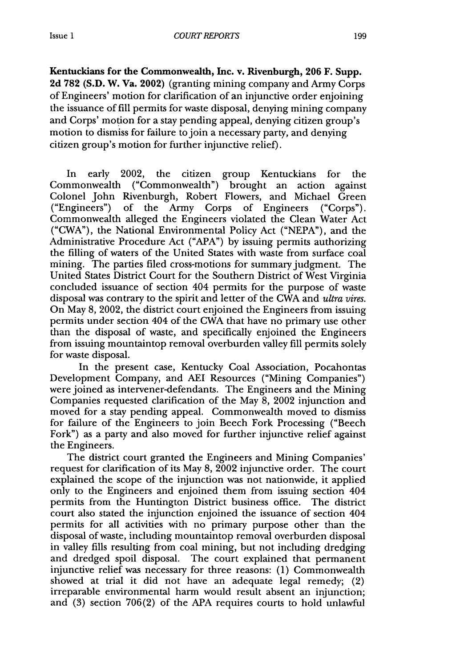**Kentuckians for the Commonwealth, Inc. v. Rivenburgh, 206 F. Supp. 2d 782 (S.D. W. Va. 2002)** (granting mining company and Army Corps of Engineers' motion for clarification of an injunctive order enjoining the issuance of **fill** permits for waste disposal, denying mining company and Corps' motion for a stay pending appeal, denying citizen group's motion to dismiss for failure to join a necessary party, and denying citizen group's motion for further injunctive relief).

In early 2002, the citizen group Kentuckians for the Commonwealth ("Commonwealth") brought an action against Colonel John Rivenburgh, Robert Flowers, and Michael Green ("Engineers") of the Army Corps of Engineers ("Corps"). Commonwealth alleged the Engineers violated the Clean Water Act ("CWA"), the National Environmental Policy Act **("NEPA"),** and the Administrative Procedure Act **("APA") by** issuing permits authorizing the filling of waters of the United States with waste from surface coal mining. The parties filed cross-motions for summary judgment. The United States District Court for the Southern District of West Virginia concluded issuance of section 404 permits for the purpose of waste disposal was contrary to the spirit and letter of the **CWA** and *ultra vires.* On May **8,** 2002, the district court enjoined the Engineers from issuing permits under section 404 of the CWA that have no primary use other than the disposal of waste, and specifically enjoined the Engineers from issuing mountaintop removal overburden valley **fill** permits solely for waste disposal.

In the present case, Kentucky Coal Association, Pocahontas Development Company, and AEI Resources ("Mining Companies") were joined as intervener-defendants. The Engineers and the Mining Companies requested clarification of the May **8,** 2002 injunction and moved for a stay pending appeal. Commonwealth moved to dismiss for failure of the Engineers to join Beech Fork Processing ("Beech Fork") as a party and also moved for further injunctive relief against the Engineers.

The district court granted the Engineers and Mining Companies' request for clarification of its May **8,** 2002 injunctive order. The court explained the scope of the injunction was not nationwide, it applied only to the Engineers and enjoined them from issuing section 404 permits from the Huntington District business office. The district court also stated the injunction enjoined the issuance of section 404 permits for all activities with no primary purpose other than the disposal of waste, including mountaintop removal overburden disposal in valley fills resulting from coal mining, but not including dredging and dredged spoil disposal. The court explained that permanent injunctive relief was necessary for three reasons: (1) Commonwealth showed at trial it did not have an adequate legal remedy; (2) irreparable environmental harm would result absent an injunction; and (3) section 706(2) of the APA requires courts to hold unlawful